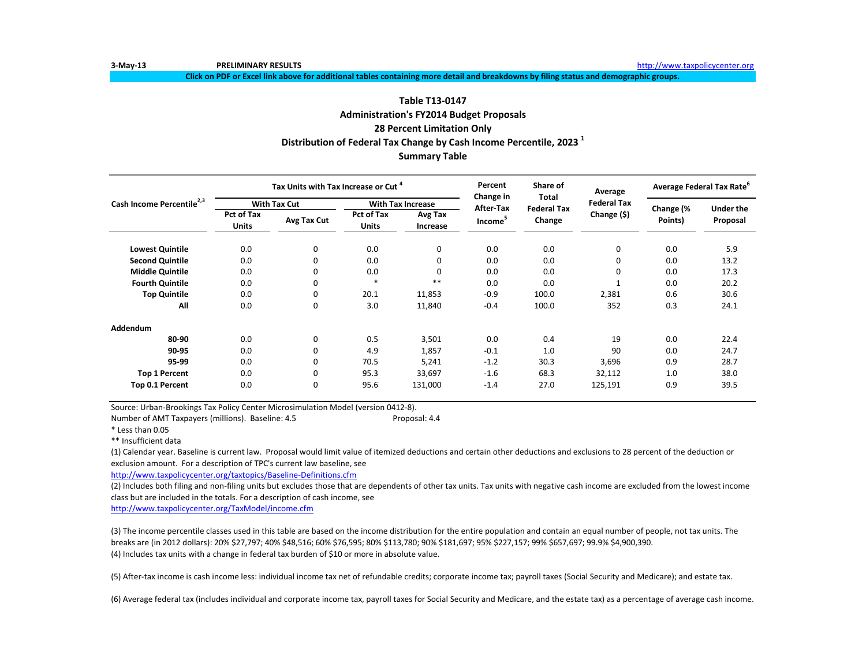**Click on PDF or Excel link above for additional tables containing more detail and breakdowns by filing status and demographic groups.**

# **Distribution of Federal Tax Change by Cash Income Percentile, 2023 1 Summary Table Table T13-0147 Administration's FY2014 Budget Proposals 28 Percent Limitation Only**

|                                       |                            | Tax Units with Tax Increase or Cut <sup>4</sup> |                            |                          | Percent<br>Change in | Share of<br>Total  | Average            | Average Federal Tax Rate <sup>o</sup> |                              |
|---------------------------------------|----------------------------|-------------------------------------------------|----------------------------|--------------------------|----------------------|--------------------|--------------------|---------------------------------------|------------------------------|
| Cash Income Percentile <sup>2,3</sup> | <b>With Tax Cut</b>        |                                                 |                            | <b>With Tax Increase</b> | After-Tax            | <b>Federal Tax</b> | <b>Federal Tax</b> |                                       |                              |
|                                       | Pct of Tax<br><b>Units</b> | Avg Tax Cut                                     | Pct of Tax<br><b>Units</b> | Avg Tax<br>Increase      | Income <sup>5</sup>  | Change             | Change (\$)        | Change (%<br>Points)                  | <b>Under the</b><br>Proposal |
| <b>Lowest Quintile</b>                | 0.0                        | 0                                               | 0.0                        | 0                        | 0.0                  | 0.0                | $\Omega$           | 0.0                                   | 5.9                          |
| <b>Second Quintile</b>                | 0.0                        | 0                                               | 0.0                        | 0                        | 0.0                  | 0.0                |                    | 0.0                                   | 13.2                         |
| <b>Middle Quintile</b>                | 0.0                        | 0                                               | 0.0                        | 0                        | 0.0                  | 0.0                | $\Omega$           | 0.0                                   | 17.3                         |
| <b>Fourth Quintile</b>                | 0.0                        | 0                                               | $*$                        | $* *$                    | 0.0                  | 0.0                |                    | 0.0                                   | 20.2                         |
| <b>Top Quintile</b>                   | 0.0                        | 0                                               | 20.1                       | 11,853                   | $-0.9$               | 100.0              | 2,381              | 0.6                                   | 30.6                         |
| All                                   | 0.0                        | 0                                               | 3.0                        | 11,840                   | $-0.4$               | 100.0              | 352                | 0.3                                   | 24.1                         |
| Addendum                              |                            |                                                 |                            |                          |                      |                    |                    |                                       |                              |
| 80-90                                 | 0.0                        | 0                                               | 0.5                        | 3,501                    | 0.0                  | 0.4                | 19                 | 0.0                                   | 22.4                         |
| 90-95                                 | 0.0                        | 0                                               | 4.9                        | 1,857                    | $-0.1$               | 1.0                | 90                 | 0.0                                   | 24.7                         |
| 95-99                                 | 0.0                        | 0                                               | 70.5                       | 5,241                    | $-1.2$               | 30.3               | 3,696              | 0.9                                   | 28.7                         |
| <b>Top 1 Percent</b>                  | 0.0                        | 0                                               | 95.3                       | 33,697                   | $-1.6$               | 68.3               | 32,112             | 1.0                                   | 38.0                         |
| Top 0.1 Percent                       | 0.0                        | 0                                               | 95.6                       | 131,000                  | $-1.4$               | 27.0               | 125,191            | 0.9                                   | 39.5                         |

Source: Urban-Brookings Tax Policy Center Microsimulation Model (version 0412-8).

Number of AMT Taxpayers (millions). Baseline: 4.5 Proposal: 4.4

\* Less than 0.05

\*\* Insufficient data

(1) Calendar year. Baseline is current law. Proposal would limit value of itemized deductions and certain other deductions and exclusions to 28 percent of the deduction or exclusion amount. For a description of TPC's current law baseline, see

<http://www.taxpolicycenter.org/taxtopics/Baseline-Definitions.cfm>

(2) Includes both filing and non-filing units but excludes those that are dependents of other tax units. Tax units with negative cash income are excluded from the lowest income class but are included in the totals. For a description of cash income, see

<http://www.taxpolicycenter.org/TaxModel/income.cfm>

(3) The income percentile classes used in this table are based on the income distribution for the entire population and contain an equal number of people, not tax units. The breaks are (in 2012 dollars): 20% \$27,797; 40% \$48,516; 60% \$76,595; 80% \$113,780; 90% \$181,697; 95% \$227,157; 99% \$657,697; 99.9% \$4,900,390. (4) Includes tax units with a change in federal tax burden of \$10 or more in absolute value.

(5) After-tax income is cash income less: individual income tax net of refundable credits; corporate income tax; payroll taxes (Social Security and Medicare); and estate tax.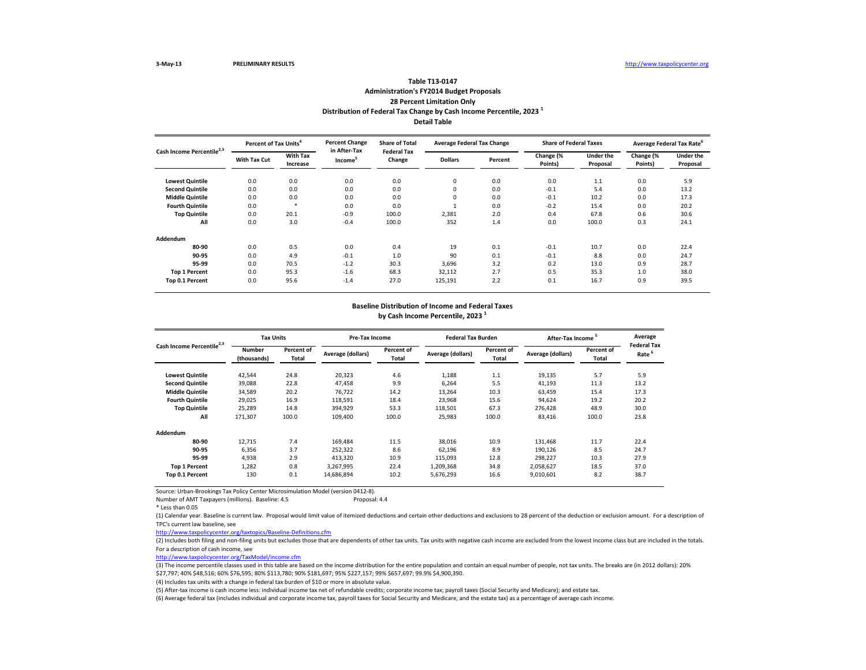# **Detail Table Table T13-0147 Administration's FY2014 Budget Proposals 28 Percent Limitation Only Distribution of Federal Tax Change by Cash Income Percentile, 2023 <sup>1</sup>**

| Cash Income Percentile <sup>2,3</sup> | Percent of Tax Units <sup>4</sup> |                             | <b>Percent Change</b><br>in After-Tax | <b>Share of Total</b><br><b>Federal Tax</b> | <b>Average Federal Tax Change</b> |         | <b>Share of Federal Taxes</b> |                              | Average Federal Tax Rate <sup>o</sup> |                              |
|---------------------------------------|-----------------------------------|-----------------------------|---------------------------------------|---------------------------------------------|-----------------------------------|---------|-------------------------------|------------------------------|---------------------------------------|------------------------------|
|                                       | <b>With Tax Cut</b>               | <b>With Tax</b><br>Increase | Income <sup>5</sup>                   | Change                                      | <b>Dollars</b>                    | Percent | Change (%<br>Points)          | <b>Under the</b><br>Proposal | Change (%<br>Points)                  | <b>Under the</b><br>Proposal |
| <b>Lowest Quintile</b>                | 0.0                               | 0.0                         | 0.0                                   | 0.0                                         | 0                                 | 0.0     | 0.0                           | 1.1                          | 0.0                                   | 5.9                          |
| <b>Second Quintile</b>                | 0.0                               | 0.0                         | 0.0                                   | 0.0                                         | 0                                 | 0.0     | $-0.1$                        | 5.4                          | 0.0                                   | 13.2                         |
| <b>Middle Quintile</b>                | 0.0                               | 0.0                         | 0.0                                   | 0.0                                         | $\mathbf 0$                       | 0.0     | $-0.1$                        | 10.2                         | 0.0                                   | 17.3                         |
| <b>Fourth Quintile</b>                | 0.0                               | *                           | 0.0                                   | 0.0                                         |                                   | 0.0     | $-0.2$                        | 15.4                         | 0.0                                   | 20.2                         |
| <b>Top Quintile</b>                   | 0.0                               | 20.1                        | $-0.9$                                | 100.0                                       | 2,381                             | 2.0     | 0.4                           | 67.8                         | 0.6                                   | 30.6                         |
| All                                   | 0.0                               | 3.0                         | $-0.4$                                | 100.0                                       | 352                               | 1.4     | 0.0                           | 100.0                        | 0.3                                   | 24.1                         |
| Addendum                              |                                   |                             |                                       |                                             |                                   |         |                               |                              |                                       |                              |
| 80-90                                 | 0.0                               | 0.5                         | 0.0                                   | 0.4                                         | 19                                | 0.1     | $-0.1$                        | 10.7                         | 0.0                                   | 22.4                         |
| 90-95                                 | 0.0                               | 4.9                         | $-0.1$                                | 1.0                                         | 90                                | 0.1     | $-0.1$                        | 8.8                          | 0.0                                   | 24.7                         |
| 95-99                                 | 0.0                               | 70.5                        | $-1.2$                                | 30.3                                        | 3,696                             | 3.2     | 0.2                           | 13.0                         | 0.9                                   | 28.7                         |
| <b>Top 1 Percent</b>                  | 0.0                               | 95.3                        | $-1.6$                                | 68.3                                        | 32,112                            | 2.7     | 0.5                           | 35.3                         | 1.0                                   | 38.0                         |
| Top 0.1 Percent                       | 0.0                               | 95.6                        | $-1.4$                                | 27.0                                        | 125,191                           | 2.2     | 0.1                           | 16.7                         | 0.9                                   | 39.5                         |

### **Baseline Distribution of Income and Federal Taxes by Cash Income Percentile, 2023 <sup>1</sup>**

|                                       | <b>Tax Units</b>             |                     | Pre-Tax Income    |                     | <b>Federal Tax Burden</b> |                     | After-Tax Income <sup>5</sup> |                     | Average                    |
|---------------------------------------|------------------------------|---------------------|-------------------|---------------------|---------------------------|---------------------|-------------------------------|---------------------|----------------------------|
| Cash Income Percentile <sup>2,3</sup> | <b>Number</b><br>(thousands) | Percent of<br>Total | Average (dollars) | Percent of<br>Total | Average (dollars)         | Percent of<br>Total | Average (dollars)             | Percent of<br>Total | <b>Federal Tax</b><br>Rate |
| <b>Lowest Quintile</b>                | 42,544                       | 24.8                | 20,323            | 4.6                 | 1,188                     | 1.1                 | 19,135                        | 5.7                 | 5.9                        |
| <b>Second Quintile</b>                | 39,088                       | 22.8                | 47,458            | 9.9                 | 6,264                     | 5.5                 | 41,193                        | 11.3                | 13.2                       |
| <b>Middle Quintile</b>                | 34,589                       | 20.2                | 76.722            | 14.2                | 13,264                    | 10.3                | 63,459                        | 15.4                | 17.3                       |
| <b>Fourth Quintile</b>                | 29,025                       | 16.9                | 118,591           | 18.4                | 23,968                    | 15.6                | 94,624                        | 19.2                | 20.2                       |
| <b>Top Quintile</b>                   | 25,289                       | 14.8                | 394,929           | 53.3                | 118,501                   | 67.3                | 276,428                       | 48.9                | 30.0                       |
| All                                   | 171,307                      | 100.0               | 109,400           | 100.0               | 25,983                    | 100.0               | 83,416                        | 100.0               | 23.8                       |
| Addendum                              |                              |                     |                   |                     |                           |                     |                               |                     |                            |
| 80-90                                 | 12,715                       | 7.4                 | 169,484           | 11.5                | 38,016                    | 10.9                | 131,468                       | 11.7                | 22.4                       |
| 90-95                                 | 6,356                        | 3.7                 | 252,322           | 8.6                 | 62,196                    | 8.9                 | 190,126                       | 8.5                 | 24.7                       |
| 95-99                                 | 4,938                        | 2.9                 | 413,320           | 10.9                | 115,093                   | 12.8                | 298,227                       | 10.3                | 27.9                       |
| <b>Top 1 Percent</b>                  | 1,282                        | 0.8                 | 3,267,995         | 22.4                | 1,209,368                 | 34.8                | 2,058,627                     | 18.5                | 37.0                       |
| Top 0.1 Percent                       | 130                          | 0.1                 | 14,686,894        | 10.2                | 5,676,293                 | 16.6                | 9,010,601                     | 8.2                 | 38.7                       |

Source: Urban-Brookings Tax Policy Center Microsimulation Model (version 0412-8).

Number of AMT Taxpayers (millions). Baseline: 4.5

(1) Calendar year. Baseline is current law. Proposal would limit value of itemized deductions and certain other deductions and exclusions to 28 percent of the deduction or exclusion amount. For a description of TPC's current law baseline, see

<http://www.taxpolicycenter.org/taxtopics/Baseline-Definitions.cfm>

(2) Includes both filing and non-filing units but excludes those that are dependents of other tax units. Tax units with negative cash income are excluded from the lowest income class but are included in the totals. For a description of cash income, see

<http://www.taxpolicycenter.org/TaxModel/income.cfm>

(3) The income percentile classes used in this table are based on the income distribution for the entire population and contain an equal number of people, not tax units. The breaks are (in 2012 dollars): 20% \$27,797; 40% \$48,516; 60% \$76,595; 80% \$113,780; 90% \$181,697; 95% \$227,157; 99% \$657,697; 99.9% \$4,900,390.

(4) Includes tax units with a change in federal tax burden of \$10 or more in absolute value.

(5) After-tax income is cash income less: individual income tax net of refundable credits; corporate income tax; payroll taxes (Social Security and Medicare); and estate tax.

<sup>\*</sup> Less than 0.05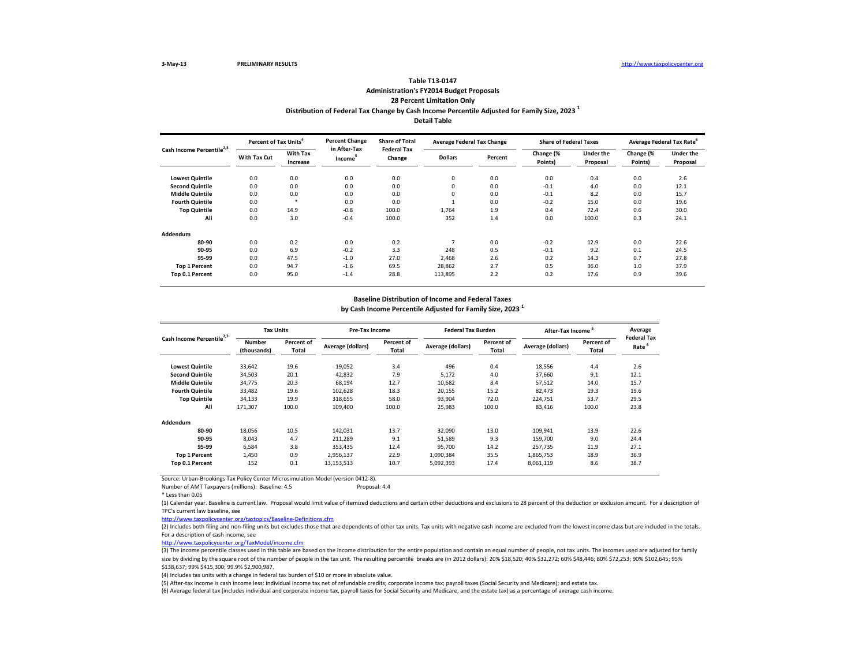### **Distribution of Federal Tax Change by Cash Income Percentile Adjusted for Family Size, 2023 <sup>1</sup> Detail Table Table T13-0147 Administration's FY2014 Budget Proposals 28 Percent Limitation Only**

| Cash Income Percentile <sup>2,3</sup> |                     | Percent of Tax Units <sup>4</sup> |                                     | <b>Percent Change</b><br><b>Share of Total</b><br><b>Federal Tax</b> | <b>Average Federal Tax Change</b> |         | <b>Share of Federal Taxes</b> |                       | Average Federal Tax Rate |                       |
|---------------------------------------|---------------------|-----------------------------------|-------------------------------------|----------------------------------------------------------------------|-----------------------------------|---------|-------------------------------|-----------------------|--------------------------|-----------------------|
|                                       | <b>With Tax Cut</b> | <b>With Tax</b><br>Increase       | in After-Tax<br>Income <sup>5</sup> | Change                                                               | <b>Dollars</b>                    | Percent | Change (%<br>Points)          | Under the<br>Proposal | Change (%<br>Points)     | Under the<br>Proposal |
| <b>Lowest Quintile</b>                | 0.0                 | 0.0                               | 0.0                                 | 0.0                                                                  | $\mathbf 0$                       | 0.0     | 0.0                           | 0.4                   | 0.0                      | 2.6                   |
| <b>Second Quintile</b>                | 0.0                 | 0.0                               | 0.0                                 | 0.0                                                                  | $\mathbf 0$                       | 0.0     | $-0.1$                        | 4.0                   | 0.0                      | 12.1                  |
| <b>Middle Quintile</b>                | 0.0                 | 0.0                               | 0.0                                 | 0.0                                                                  | $\mathbf 0$                       | 0.0     | $-0.1$                        | 8.2                   | 0.0                      | 15.7                  |
| <b>Fourth Quintile</b>                | 0.0                 | $\star$                           | 0.0                                 | 0.0                                                                  |                                   | 0.0     | $-0.2$                        | 15.0                  | 0.0                      | 19.6                  |
| <b>Top Quintile</b>                   | 0.0                 | 14.9                              | $-0.8$                              | 100.0                                                                | 1,764                             | 1.9     | 0.4                           | 72.4                  | 0.6                      | 30.0                  |
| All                                   | 0.0                 | 3.0                               | $-0.4$                              | 100.0                                                                | 352                               | 1.4     | 0.0                           | 100.0                 | 0.3                      | 24.1                  |
| Addendum                              |                     |                                   |                                     |                                                                      |                                   |         |                               |                       |                          |                       |
| 80-90                                 | 0.0                 | 0.2                               | 0.0                                 | 0.2                                                                  |                                   | 0.0     | $-0.2$                        | 12.9                  | 0.0                      | 22.6                  |
| 90-95                                 | 0.0                 | 6.9                               | $-0.2$                              | 3.3                                                                  | 248                               | 0.5     | $-0.1$                        | 9.2                   | 0.1                      | 24.5                  |
| 95-99                                 | 0.0                 | 47.5                              | $-1.0$                              | 27.0                                                                 | 2.468                             | 2.6     | 0.2                           | 14.3                  | 0.7                      | 27.8                  |
| <b>Top 1 Percent</b>                  | 0.0                 | 94.7                              | $-1.6$                              | 69.5                                                                 | 28,862                            | 2.7     | 0.5                           | 36.0                  | 1.0                      | 37.9                  |
| Top 0.1 Percent                       | 0.0                 | 95.0                              | $-1.4$                              | 28.8                                                                 | 113,895                           | 2.2     | 0.2                           | 17.6                  | 0.9                      | 39.6                  |

#### **Baseline Distribution of Income and Federal Taxes**

**by Cash Income Percentile Adjusted for Family Size, 2023 <sup>1</sup>**

| Cash Income Percentile <sup>2,3</sup> |                              | <b>Tax Units</b>    |                   | Pre-Tax Income      |                   | <b>Federal Tax Burden</b> | <b>After-Tax Income</b> |                     | Average<br><b>Federal Tax</b> |
|---------------------------------------|------------------------------|---------------------|-------------------|---------------------|-------------------|---------------------------|-------------------------|---------------------|-------------------------------|
|                                       | <b>Number</b><br>(thousands) | Percent of<br>Total | Average (dollars) | Percent of<br>Total | Average (dollars) | Percent of<br>Total       | Average (dollars)       | Percent of<br>Total | Rate <sup>6</sup>             |
| <b>Lowest Quintile</b>                | 33,642                       | 19.6                | 19,052            | 3.4                 | 496               | 0.4                       | 18,556                  | 4.4                 | 2.6                           |
| <b>Second Quintile</b>                | 34,503                       | 20.1                | 42,832            | 7.9                 | 5,172             | 4.0                       | 37,660                  | 9.1                 | 12.1                          |
| <b>Middle Quintile</b>                | 34,775                       | 20.3                | 68,194            | 12.7                | 10,682            | 8.4                       | 57,512                  | 14.0                | 15.7                          |
| <b>Fourth Quintile</b>                | 33,482                       | 19.6                | 102,628           | 18.3                | 20,155            | 15.2                      | 82,473                  | 19.3                | 19.6                          |
| <b>Top Quintile</b>                   | 34,133                       | 19.9                | 318,655           | 58.0                | 93,904            | 72.0                      | 224,751                 | 53.7                | 29.5                          |
| All                                   | 171,307                      | 100.0               | 109.400           | 100.0               | 25,983            | 100.0                     | 83,416                  | 100.0               | 23.8                          |
| Addendum                              |                              |                     |                   |                     |                   |                           |                         |                     |                               |
| 80-90                                 | 18,056                       | 10.5                | 142,031           | 13.7                | 32.090            | 13.0                      | 109,941                 | 13.9                | 22.6                          |
| 90-95                                 | 8,043                        | 4.7                 | 211,289           | 9.1                 | 51,589            | 9.3                       | 159.700                 | 9.0                 | 24.4                          |
| 95-99                                 | 6,584                        | 3.8                 | 353,435           | 12.4                | 95.700            | 14.2                      | 257.735                 | 11.9                | 27.1                          |
| <b>Top 1 Percent</b>                  | 1,450                        | 0.9                 | 2,956,137         | 22.9                | 1,090,384         | 35.5                      | 1,865,753               | 18.9                | 36.9                          |
| Top 0.1 Percent                       | 152                          | 0.1                 | 13,153,513        | 10.7                | 5,092,393         | 17.4                      | 8,061,119               | 8.6                 | 38.7                          |

Source: Urban-Brookings Tax Policy Center Microsimulation Model (version 0412-8). Number of AMT Taxpayers (millions). Baseline: 4.5

\* Less than 0.05

(1) Calendar year. Baseline is current law. Proposal would limit value of itemized deductions and certain other deductions and exclusions to 28 percent of the deduction or exclusion amount. For a description of TPC's current law baseline, see

<http://www.taxpolicycenter.org/taxtopics/Baseline-Definitions.cfm>

(2) Includes both filing and non-filing units but excludes those that are dependents of other tax units. Tax units with negative cash income are excluded from the lowest income class but are included in the totals. For a description of cash income, see

<http://www.taxpolicycenter.org/TaxModel/income.cfm>

(3) The income percentile classes used in this table are based on the income distribution for the entire population and contain an equal number of people, not tax units. The incomes used are adjusted for family size by dividing by the square root of the number of people in the tax unit. The resulting percentile breaks are (in 2012 dollars): 20% \$18,520; 40% \$32,272; 60% \$48,446; 80% \$72,253; 90% \$102,645; 95% \$138,637; 99% \$415,300; 99.9% \$2,900,987.

(4) Includes tax units with a change in federal tax burden of \$10 or more in absolute value.

(5) After-tax income is cash income less: individual income tax net of refundable credits; corporate income tax; payroll taxes (Social Security and Medicare); and estate tax.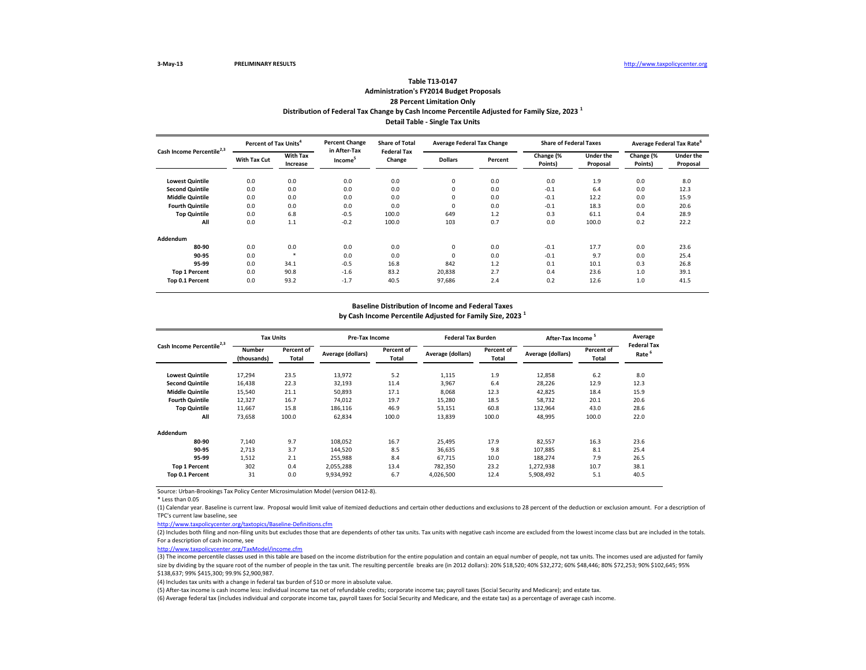# **Distribution of Federal Tax Change by Cash Income Percentile Adjusted for Family Size, 2023 <sup>1</sup> Detail Table - Single Tax Units Table T13-0147 Administration's FY2014 Budget Proposals 28 Percent Limitation Only**

| Cash Income Percentile <sup>2,3</sup> | Percent of Tax Units <sup>4</sup> |                             | <b>Percent Change</b><br>in After-Tax | <b>Share of Total</b><br><b>Federal Tax</b> | <b>Average Federal Tax Change</b> |         | <b>Share of Federal Taxes</b> |                       | Average Federal Tax Rate |                              |
|---------------------------------------|-----------------------------------|-----------------------------|---------------------------------------|---------------------------------------------|-----------------------------------|---------|-------------------------------|-----------------------|--------------------------|------------------------------|
|                                       | <b>With Tax Cut</b>               | <b>With Tax</b><br>Increase | Income <sup>5</sup>                   | Change                                      | <b>Dollars</b>                    | Percent | Change (%<br>Points)          | Under the<br>Proposal | Change (%<br>Points)     | <b>Under the</b><br>Proposal |
| <b>Lowest Quintile</b>                | 0.0                               | 0.0                         | 0.0                                   | 0.0                                         | 0                                 | 0.0     | 0.0                           | 1.9                   | 0.0                      | 8.0                          |
| <b>Second Quintile</b>                | 0.0                               | 0.0                         | 0.0                                   | 0.0                                         | 0                                 | 0.0     | $-0.1$                        | 6.4                   | 0.0                      | 12.3                         |
| <b>Middle Quintile</b>                | 0.0                               | 0.0                         | 0.0                                   | 0.0                                         | 0                                 | 0.0     | $-0.1$                        | 12.2                  | 0.0                      | 15.9                         |
| <b>Fourth Quintile</b>                | 0.0                               | 0.0                         | 0.0                                   | 0.0                                         | 0                                 | 0.0     | $-0.1$                        | 18.3                  | 0.0                      | 20.6                         |
| <b>Top Quintile</b>                   | 0.0                               | 6.8                         | $-0.5$                                | 100.0                                       | 649                               | 1.2     | 0.3                           | 61.1                  | 0.4                      | 28.9                         |
| All                                   | 0.0                               | 1.1                         | $-0.2$                                | 100.0                                       | 103                               | 0.7     | 0.0                           | 100.0                 | 0.2                      | 22.2                         |
| Addendum                              |                                   |                             |                                       |                                             |                                   |         |                               |                       |                          |                              |
| 80-90                                 | 0.0                               | 0.0                         | 0.0                                   | 0.0                                         | 0                                 | 0.0     | $-0.1$                        | 17.7                  | 0.0                      | 23.6                         |
| 90-95                                 | 0.0                               | ×,                          | 0.0                                   | 0.0                                         | 0                                 | 0.0     | $-0.1$                        | 9.7                   | 0.0                      | 25.4                         |
| 95-99                                 | 0.0                               | 34.1                        | $-0.5$                                | 16.8                                        | 842                               | 1.2     | 0.1                           | 10.1                  | 0.3                      | 26.8                         |
| <b>Top 1 Percent</b>                  | 0.0                               | 90.8                        | $-1.6$                                | 83.2                                        | 20,838                            | 2.7     | 0.4                           | 23.6                  | 1.0                      | 39.1                         |
| Top 0.1 Percent                       | 0.0                               | 93.2                        | $-1.7$                                | 40.5                                        | 97,686                            | 2.4     | 0.2                           | 12.6                  | 1.0                      | 41.5                         |

#### **Baseline Distribution of Income and Federal Taxes**

**by Cash Income Percentile Adjusted for Family Size, 2023 <sup>1</sup>**

| Cash Income Percentile <sup>2,3</sup> |                              | <b>Tax Units</b>           |                   | Pre-Tax Income      |                   | <b>Federal Tax Burden</b> | After-Tax Income <sup>5</sup> |                            | Average                                 |
|---------------------------------------|------------------------------|----------------------------|-------------------|---------------------|-------------------|---------------------------|-------------------------------|----------------------------|-----------------------------------------|
|                                       | <b>Number</b><br>(thousands) | <b>Percent of</b><br>Total | Average (dollars) | Percent of<br>Total | Average (dollars) | Percent of<br>Total       | Average (dollars)             | <b>Percent of</b><br>Total | <b>Federal Tax</b><br>Rate <sup>'</sup> |
| <b>Lowest Quintile</b>                | 17,294                       | 23.5                       | 13,972            | 5.2                 | 1,115             | 1.9                       | 12,858                        | 6.2                        | 8.0                                     |
| <b>Second Quintile</b>                | 16,438                       | 22.3                       | 32,193            | 11.4                | 3,967             | 6.4                       | 28,226                        | 12.9                       | 12.3                                    |
| <b>Middle Quintile</b>                | 15,540                       | 21.1                       | 50,893            | 17.1                | 8,068             | 12.3                      | 42,825                        | 18.4                       | 15.9                                    |
| <b>Fourth Quintile</b>                | 12,327                       | 16.7                       | 74.012            | 19.7                | 15,280            | 18.5                      | 58,732                        | 20.1                       | 20.6                                    |
| <b>Top Quintile</b>                   | 11,667                       | 15.8                       | 186,116           | 46.9                | 53,151            | 60.8                      | 132,964                       | 43.0                       | 28.6                                    |
| All                                   | 73,658                       | 100.0                      | 62,834            | 100.0               | 13,839            | 100.0                     | 48,995                        | 100.0                      | 22.0                                    |
| Addendum                              |                              |                            |                   |                     |                   |                           |                               |                            |                                         |
| 80-90                                 | 7,140                        | 9.7                        | 108,052           | 16.7                | 25,495            | 17.9                      | 82,557                        | 16.3                       | 23.6                                    |
| 90-95                                 | 2.713                        | 3.7                        | 144,520           | 8.5                 | 36,635            | 9.8                       | 107.885                       | 8.1                        | 25.4                                    |
| 95-99                                 | 1.512                        | 2.1                        | 255,988           | 8.4                 | 67.715            | 10.0                      | 188.274                       | 7.9                        | 26.5                                    |
| <b>Top 1 Percent</b>                  | 302                          | 0.4                        | 2.055.288         | 13.4                | 782.350           | 23.2                      | 1,272,938                     | 10.7                       | 38.1                                    |
| Top 0.1 Percent                       | 31                           | 0.0                        | 9,934,992         | 6.7                 | 4,026,500         | 12.4                      | 5,908,492                     | 5.1                        | 40.5                                    |

Source: Urban-Brookings Tax Policy Center Microsimulation Model (version 0412-8).

\* Less than 0.05

(1) Calendar year. Baseline is current law. Proposal would limit value of itemized deductions and certain other deductions and exclusions to 28 percent of the deduction or exclusion amount. For a description of TPC's current law baseline, see

<http://www.taxpolicycenter.org/taxtopics/Baseline-Definitions.cfm>

(2) Includes both filing and non-filing units but excludes those that are dependents of other tax units. Tax units with negative cash income are excluded from the lowest income class but are included in the totals. For a description of cash income, see

<http://www.taxpolicycenter.org/TaxModel/income.cfm>

(3) The income percentile classes used in this table are based on the income distribution for the entire population and contain an equal number of people, not tax units. The incomes used are adjusted for family size by dividing by the square root of the number of people in the tax unit. The resulting percentile breaks are (in 2012 dollars): 20% \$18,520; 40% \$32,272; 60% \$48,446; 80% \$72,253; 90% \$102,645; 95% \$138,637; 99% \$415,300; 99.9% \$2,900,987.

(4) Includes tax units with a change in federal tax burden of \$10 or more in absolute value.

(5) After-tax income is cash income less: individual income tax net of refundable credits; corporate income tax; payroll taxes (Social Security and Medicare); and estate tax.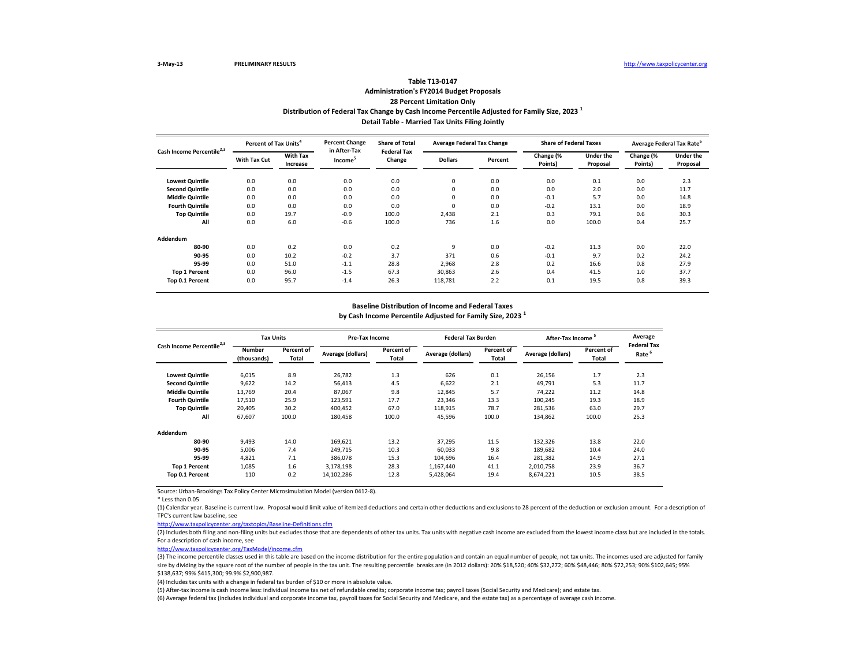# **Distribution of Federal Tax Change by Cash Income Percentile Adjusted for Family Size, 2023 <sup>1</sup> Detail Table - Married Tax Units Filing Jointly Table T13-0147 Administration's FY2014 Budget Proposals 28 Percent Limitation Only**

| Cash Income Percentile <sup>2,3</sup> | Percent of Tax Units <sup>4</sup> |                             | <b>Percent Change</b><br>in After-Tax | <b>Share of Total</b><br><b>Federal Tax</b> | <b>Average Federal Tax Change</b> |         | <b>Share of Federal Taxes</b> |                              |                      | Average Federal Tax Rate     |
|---------------------------------------|-----------------------------------|-----------------------------|---------------------------------------|---------------------------------------------|-----------------------------------|---------|-------------------------------|------------------------------|----------------------|------------------------------|
|                                       | <b>With Tax Cut</b>               | <b>With Tax</b><br>Increase | Income <sup>5</sup>                   | Change                                      | <b>Dollars</b>                    | Percent | Change (%<br>Points)          | <b>Under the</b><br>Proposal | Change (%<br>Points) | <b>Under the</b><br>Proposal |
| <b>Lowest Quintile</b>                | 0.0                               | 0.0                         | 0.0                                   | 0.0                                         | 0                                 | 0.0     | 0.0                           | 0.1                          | 0.0                  | 2.3                          |
| <b>Second Quintile</b>                | 0.0                               | 0.0                         | 0.0                                   | 0.0                                         | 0                                 | 0.0     | 0.0                           | 2.0                          | 0.0                  | 11.7                         |
| <b>Middle Quintile</b>                | 0.0                               | 0.0                         | 0.0                                   | 0.0                                         | 0                                 | 0.0     | $-0.1$                        | 5.7                          | 0.0                  | 14.8                         |
| <b>Fourth Quintile</b>                | 0.0                               | 0.0                         | 0.0                                   | 0.0                                         | 0                                 | 0.0     | $-0.2$                        | 13.1                         | 0.0                  | 18.9                         |
| <b>Top Quintile</b>                   | 0.0                               | 19.7                        | $-0.9$                                | 100.0                                       | 2.438                             | 2.1     | 0.3                           | 79.1                         | 0.6                  | 30.3                         |
| All                                   | 0.0                               | 6.0                         | $-0.6$                                | 100.0                                       | 736                               | 1.6     | 0.0                           | 100.0                        | 0.4                  | 25.7                         |
| Addendum                              |                                   |                             |                                       |                                             |                                   |         |                               |                              |                      |                              |
| 80-90                                 | 0.0                               | 0.2                         | 0.0                                   | 0.2                                         | 9                                 | 0.0     | $-0.2$                        | 11.3                         | 0.0                  | 22.0                         |
| 90-95                                 | 0.0                               | 10.2                        | $-0.2$                                | 3.7                                         | 371                               | 0.6     | $-0.1$                        | 9.7                          | 0.2                  | 24.2                         |
| 95-99                                 | 0.0                               | 51.0                        | $-1.1$                                | 28.8                                        | 2,968                             | 2.8     | 0.2                           | 16.6                         | 0.8                  | 27.9                         |
| <b>Top 1 Percent</b>                  | 0.0                               | 96.0                        | $-1.5$                                | 67.3                                        | 30,863                            | 2.6     | 0.4                           | 41.5                         | 1.0                  | 37.7                         |
| Top 0.1 Percent                       | 0.0                               | 95.7                        | $-1.4$                                | 26.3                                        | 118,781                           | 2.2     | 0.1                           | 19.5                         | 0.8                  | 39.3                         |

#### **Baseline Distribution of Income and Federal Taxes**

**by Cash Income Percentile Adjusted for Family Size, 2023 <sup>1</sup>**

|                                       |                       | <b>Tax Units</b>           |                   | Pre-Tax Income      |                   | <b>Federal Tax Burden</b> | After-Tax Income <sup>5</sup> |                     | Average                                 |
|---------------------------------------|-----------------------|----------------------------|-------------------|---------------------|-------------------|---------------------------|-------------------------------|---------------------|-----------------------------------------|
| Cash Income Percentile <sup>2,3</sup> | Number<br>(thousands) | <b>Percent of</b><br>Total | Average (dollars) | Percent of<br>Total | Average (dollars) | Percent of<br>Total       | Average (dollars)             | Percent of<br>Total | <b>Federal Tax</b><br>Rate <sup>6</sup> |
| <b>Lowest Quintile</b>                | 6,015                 | 8.9                        | 26,782            | 1.3                 | 626               | 0.1                       | 26,156                        | 1.7                 | 2.3                                     |
| <b>Second Quintile</b>                | 9,622                 | 14.2                       | 56,413            | 4.5                 | 6,622             | 2.1                       | 49,791                        | 5.3                 | 11.7                                    |
| <b>Middle Quintile</b>                | 13.769                | 20.4                       | 87.067            | 9.8                 | 12,845            | 5.7                       | 74,222                        | 11.2                | 14.8                                    |
| <b>Fourth Quintile</b>                | 17,510                | 25.9                       | 123,591           | 17.7                | 23,346            | 13.3                      | 100,245                       | 19.3                | 18.9                                    |
| <b>Top Quintile</b>                   | 20.405                | 30.2                       | 400.452           | 67.0                | 118,915           | 78.7                      | 281,536                       | 63.0                | 29.7                                    |
| All                                   | 67,607                | 100.0                      | 180,458           | 100.0               | 45,596            | 100.0                     | 134,862                       | 100.0               | 25.3                                    |
| Addendum                              |                       |                            |                   |                     |                   |                           |                               |                     |                                         |
| 80-90                                 | 9.493                 | 14.0                       | 169,621           | 13.2                | 37,295            | 11.5                      | 132,326                       | 13.8                | 22.0                                    |
| 90-95                                 | 5.006                 | 7.4                        | 249,715           | 10.3                | 60.033            | 9.8                       | 189,682                       | 10.4                | 24.0                                    |
| 95-99                                 | 4.821                 | 7.1                        | 386,078           | 15.3                | 104,696           | 16.4                      | 281,382                       | 14.9                | 27.1                                    |
| <b>Top 1 Percent</b>                  | 1.085                 | 1.6                        | 3.178.198         | 28.3                | 1,167,440         | 41.1                      | 2,010,758                     | 23.9                | 36.7                                    |
| Top 0.1 Percent                       | 110                   | 0.2                        | 14,102,286        | 12.8                | 5,428,064         | 19.4                      | 8,674,221                     | 10.5                | 38.5                                    |

Source: Urban-Brookings Tax Policy Center Microsimulation Model (version 0412-8).

\* Less than 0.05

(1) Calendar year. Baseline is current law. Proposal would limit value of itemized deductions and certain other deductions and exclusions to 28 percent of the deduction or exclusion amount. For a description of TPC's current law baseline, see

<http://www.taxpolicycenter.org/taxtopics/Baseline-Definitions.cfm>

(2) Includes both filing and non-filing units but excludes those that are dependents of other tax units. Tax units with negative cash income are excluded from the lowest income class but are included in the totals. For a description of cash income, see

<http://www.taxpolicycenter.org/TaxModel/income.cfm>

(3) The income percentile classes used in this table are based on the income distribution for the entire population and contain an equal number of people, not tax units. The incomes used are adjusted for family size by dividing by the square root of the number of people in the tax unit. The resulting percentile breaks are (in 2012 dollars): 20% \$18,520; 40% \$32,272; 60% \$48,446; 80% \$72,253; 90% \$102,645; 95% \$138,637; 99% \$415,300; 99.9% \$2,900,987.

(4) Includes tax units with a change in federal tax burden of \$10 or more in absolute value.

(5) After-tax income is cash income less: individual income tax net of refundable credits; corporate income tax; payroll taxes (Social Security and Medicare); and estate tax.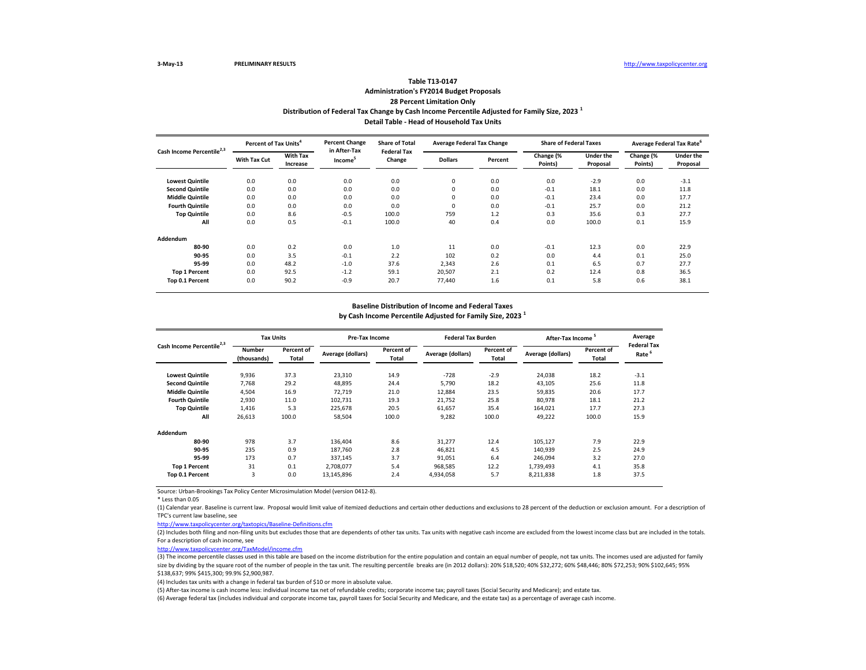# **Distribution of Federal Tax Change by Cash Income Percentile Adjusted for Family Size, 2023 <sup>1</sup> Detail Table - Head of Household Tax Units Table T13-0147 Administration's FY2014 Budget Proposals 28 Percent Limitation Only**

| Cash Income Percentile <sup>2,3</sup> | Percent of Tax Units <sup>4</sup> |                             | <b>Percent Change</b><br>in After-Tax | <b>Share of Total</b><br><b>Federal Tax</b> | <b>Average Federal Tax Change</b> |         | <b>Share of Federal Taxes</b> |                              |                      | Average Federal Tax Rate     |
|---------------------------------------|-----------------------------------|-----------------------------|---------------------------------------|---------------------------------------------|-----------------------------------|---------|-------------------------------|------------------------------|----------------------|------------------------------|
|                                       | With Tax Cut                      | <b>With Tax</b><br>Increase | Income <sup>5</sup>                   | Change                                      | <b>Dollars</b>                    | Percent | Change (%<br>Points)          | <b>Under the</b><br>Proposal | Change (%<br>Points) | <b>Under the</b><br>Proposal |
| <b>Lowest Quintile</b>                | 0.0                               | 0.0                         | 0.0                                   | 0.0                                         | 0                                 | 0.0     | 0.0                           | $-2.9$                       | 0.0                  | $-3.1$                       |
| <b>Second Quintile</b>                | 0.0                               | 0.0                         | 0.0                                   | 0.0                                         | 0                                 | 0.0     | $-0.1$                        | 18.1                         | 0.0                  | 11.8                         |
| <b>Middle Quintile</b>                | 0.0                               | 0.0                         | 0.0                                   | 0.0                                         | 0                                 | 0.0     | $-0.1$                        | 23.4                         | 0.0                  | 17.7                         |
| <b>Fourth Quintile</b>                | 0.0                               | 0.0                         | 0.0                                   | 0.0                                         | $\mathbf 0$                       | 0.0     | $-0.1$                        | 25.7                         | 0.0                  | 21.2                         |
| <b>Top Quintile</b>                   | 0.0                               | 8.6                         | $-0.5$                                | 100.0                                       | 759                               | 1.2     | 0.3                           | 35.6                         | 0.3                  | 27.7                         |
| All                                   | 0.0                               | 0.5                         | $-0.1$                                | 100.0                                       | 40                                | 0.4     | 0.0                           | 100.0                        | 0.1                  | 15.9                         |
| Addendum                              |                                   |                             |                                       |                                             |                                   |         |                               |                              |                      |                              |
| 80-90                                 | 0.0                               | 0.2                         | 0.0                                   | 1.0                                         | 11                                | 0.0     | $-0.1$                        | 12.3                         | 0.0                  | 22.9                         |
| 90-95                                 | 0.0                               | 3.5                         | $-0.1$                                | 2.2                                         | 102                               | 0.2     | 0.0                           | 4.4                          | 0.1                  | 25.0                         |
| 95-99                                 | 0.0                               | 48.2                        | $-1.0$                                | 37.6                                        | 2,343                             | 2.6     | 0.1                           | 6.5                          | 0.7                  | 27.7                         |
| <b>Top 1 Percent</b>                  | 0.0                               | 92.5                        | $-1.2$                                | 59.1                                        | 20,507                            | 2.1     | 0.2                           | 12.4                         | 0.8                  | 36.5                         |
| Top 0.1 Percent                       | 0.0                               | 90.2                        | $-0.9$                                | 20.7                                        | 77.440                            | 1.6     | 0.1                           | 5.8                          | 0.6                  | 38.1                         |

#### **Baseline Distribution of Income and Federal Taxes**

**by Cash Income Percentile Adjusted for Family Size, 2023 <sup>1</sup>**

| Cash Income Percentile <sup>2,3</sup> |                              | <b>Tax Units</b>           |                   | <b>Pre-Tax Income</b> |                   | <b>Federal Tax Burden</b> | After-Tax Income <sup>5</sup> |                     | Average                                 |
|---------------------------------------|------------------------------|----------------------------|-------------------|-----------------------|-------------------|---------------------------|-------------------------------|---------------------|-----------------------------------------|
|                                       | <b>Number</b><br>(thousands) | <b>Percent of</b><br>Total | Average (dollars) | Percent of<br>Total   | Average (dollars) | Percent of<br>Total       | Average (dollars)             | Percent of<br>Total | <b>Federal Tax</b><br>Rate <sup>'</sup> |
| <b>Lowest Quintile</b>                | 9,936                        | 37.3                       | 23,310            | 14.9                  | $-728$            | $-2.9$                    | 24,038                        | 18.2                | $-3.1$                                  |
| <b>Second Quintile</b>                | 7.768                        | 29.2                       | 48,895            | 24.4                  | 5,790             | 18.2                      | 43,105                        | 25.6                | 11.8                                    |
| <b>Middle Quintile</b>                | 4,504                        | 16.9                       | 72.719            | 21.0                  | 12,884            | 23.5                      | 59,835                        | 20.6                | 17.7                                    |
| <b>Fourth Quintile</b>                | 2.930                        | 11.0                       | 102,731           | 19.3                  | 21.752            | 25.8                      | 80,978                        | 18.1                | 21.2                                    |
| <b>Top Quintile</b>                   | 1,416                        | 5.3                        | 225,678           | 20.5                  | 61,657            | 35.4                      | 164,021                       | 17.7                | 27.3                                    |
| All                                   | 26,613                       | 100.0                      | 58,504            | 100.0                 | 9,282             | 100.0                     | 49,222                        | 100.0               | 15.9                                    |
| Addendum                              |                              |                            |                   |                       |                   |                           |                               |                     |                                         |
| 80-90                                 | 978                          | 3.7                        | 136,404           | 8.6                   | 31,277            | 12.4                      | 105,127                       | 7.9                 | 22.9                                    |
| 90-95                                 | 235                          | 0.9                        | 187.760           | 2.8                   | 46,821            | 4.5                       | 140,939                       | 2.5                 | 24.9                                    |
| 95-99                                 | 173                          | 0.7                        | 337.145           | 3.7                   | 91.051            | 6.4                       | 246.094                       | 3.2                 | 27.0                                    |
| <b>Top 1 Percent</b>                  | 31                           | 0.1                        | 2.708.077         | 5.4                   | 968,585           | 12.2                      | 1,739,493                     | 4.1                 | 35.8                                    |
| Top 0.1 Percent                       | 3                            | 0.0                        | 13.145.896        | 2.4                   | 4,934,058         | 5.7                       | 8,211,838                     | 1.8                 | 37.5                                    |

Source: Urban-Brookings Tax Policy Center Microsimulation Model (version 0412-8).

\* Less than 0.05

(1) Calendar year. Baseline is current law. Proposal would limit value of itemized deductions and certain other deductions and exclusions to 28 percent of the deduction or exclusion amount. For a description of TPC's current law baseline, see

<http://www.taxpolicycenter.org/taxtopics/Baseline-Definitions.cfm>

(2) Includes both filing and non-filing units but excludes those that are dependents of other tax units. Tax units with negative cash income are excluded from the lowest income class but are included in the totals. For a description of cash income, see

<http://www.taxpolicycenter.org/TaxModel/income.cfm>

(3) The income percentile classes used in this table are based on the income distribution for the entire population and contain an equal number of people, not tax units. The incomes used are adjusted for family size by dividing by the square root of the number of people in the tax unit. The resulting percentile breaks are (in 2012 dollars): 20% \$18,520; 40% \$32,272; 60% \$48,446; 80% \$72,253; 90% \$102,645; 95% \$138,637; 99% \$415,300; 99.9% \$2,900,987.

(4) Includes tax units with a change in federal tax burden of \$10 or more in absolute value.

(5) After-tax income is cash income less: individual income tax net of refundable credits; corporate income tax; payroll taxes (Social Security and Medicare); and estate tax.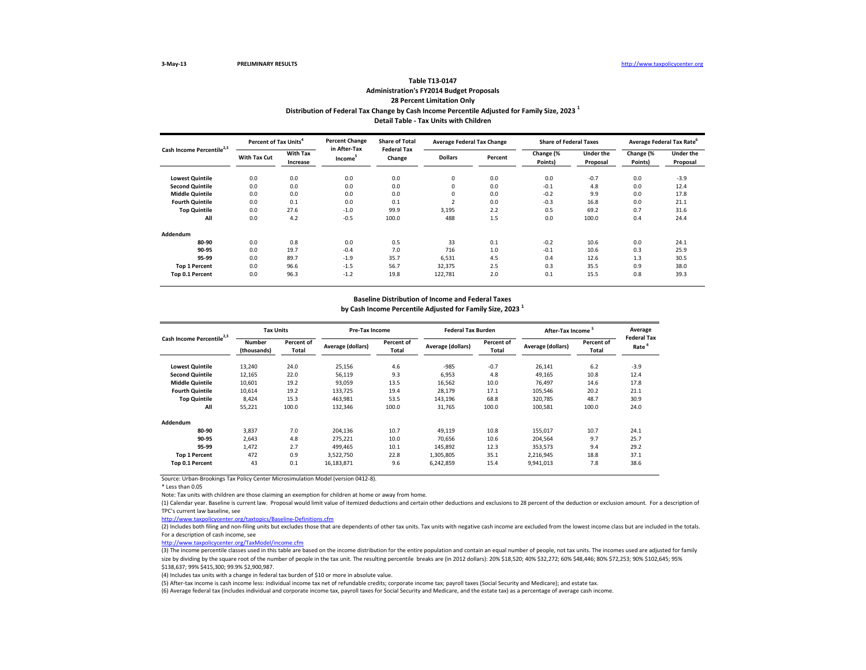### **Distribution of Federal Tax Change by Cash Income Percentile Adjusted for Family Size, 2023 <sup>1</sup> Detail Table - Tax Units with Children Table T13-0147 Administration's FY2014 Budget Proposals 28 Percent Limitation Only**

| Cash Income Percentile <sup>2,3</sup> | Percent of Tax Units <sup>4</sup> |                             | <b>Percent Change</b>               | <b>Share of Total</b><br><b>Federal Tax</b> | <b>Average Federal Tax Change</b> |         | <b>Share of Federal Taxes</b> |                       | Average Federal Tax Rate |                              |
|---------------------------------------|-----------------------------------|-----------------------------|-------------------------------------|---------------------------------------------|-----------------------------------|---------|-------------------------------|-----------------------|--------------------------|------------------------------|
|                                       | With Tax Cut                      | <b>With Tax</b><br>Increase | in After-Tax<br>Income <sup>5</sup> | Change                                      | <b>Dollars</b>                    | Percent | Change (%<br>Points)          | Under the<br>Proposal | Change (%<br>Points)     | <b>Under the</b><br>Proposal |
| <b>Lowest Quintile</b>                | 0.0                               | 0.0                         | 0.0                                 | 0.0                                         | $\mathbf 0$                       | 0.0     | 0.0                           | $-0.7$                | 0.0                      | $-3.9$                       |
| <b>Second Quintile</b>                | 0.0                               | 0.0                         | 0.0                                 | 0.0                                         | $\mathbf 0$                       | 0.0     | $-0.1$                        | 4.8                   | 0.0                      | 12.4                         |
| <b>Middle Quintile</b>                | 0.0                               | 0.0                         | 0.0                                 | 0.0                                         | $\mathbf 0$                       | 0.0     | $-0.2$                        | 9.9                   | 0.0                      | 17.8                         |
| <b>Fourth Quintile</b>                | 0.0                               | 0.1                         | 0.0                                 | 0.1                                         |                                   | 0.0     | $-0.3$                        | 16.8                  | 0.0                      | 21.1                         |
| <b>Top Quintile</b>                   | 0.0                               | 27.6                        | $-1.0$                              | 99.9                                        | 3,195                             | 2.2     | 0.5                           | 69.2                  | 0.7                      | 31.6                         |
| All                                   | 0.0                               | 4.2                         | $-0.5$                              | 100.0                                       | 488                               | 1.5     | 0.0                           | 100.0                 | 0.4                      | 24.4                         |
| Addendum                              |                                   |                             |                                     |                                             |                                   |         |                               |                       |                          |                              |
| 80-90                                 | 0.0                               | 0.8                         | 0.0                                 | 0.5                                         | 33                                | 0.1     | $-0.2$                        | 10.6                  | 0.0                      | 24.1                         |
| 90-95                                 | 0.0                               | 19.7                        | $-0.4$                              | 7.0                                         | 716                               | 1.0     | $-0.1$                        | 10.6                  | 0.3                      | 25.9                         |
| 95-99                                 | 0.0                               | 89.7                        | $-1.9$                              | 35.7                                        | 6,531                             | 4.5     | 0.4                           | 12.6                  | 1.3                      | 30.5                         |
| <b>Top 1 Percent</b>                  | 0.0                               | 96.6                        | $-1.5$                              | 56.7                                        | 32,375                            | 2.5     | 0.3                           | 35.5                  | 0.9                      | 38.0                         |
| Top 0.1 Percent                       | 0.0                               | 96.3                        | $-1.2$                              | 19.8                                        | 122,781                           | 2.0     | 0.1                           | 15.5                  | 0.8                      | 39.3                         |

#### **Baseline Distribution of Income and Federal Taxes**

**by Cash Income Percentile Adjusted for Family Size, 2023 <sup>1</sup>**

| Cash Income Percentile <sup>2,3</sup> | <b>Tax Units</b>             |                     | <b>Pre-Tax Income</b> |                     | <b>Federal Tax Burden</b> |                     | After-Tax Income  |                     | Average                                 |
|---------------------------------------|------------------------------|---------------------|-----------------------|---------------------|---------------------------|---------------------|-------------------|---------------------|-----------------------------------------|
|                                       | <b>Number</b><br>(thousands) | Percent of<br>Total | Average (dollars)     | Percent of<br>Total | Average (dollars)         | Percent of<br>Total | Average (dollars) | Percent of<br>Total | <b>Federal Tax</b><br>Rate <sup>6</sup> |
| <b>Lowest Quintile</b>                | 13,240                       | 24.0                | 25,156                | 4.6                 | $-985$                    | $-0.7$              | 26,141            | 6.2                 | $-3.9$                                  |
| <b>Second Quintile</b>                | 12,165                       | 22.0                | 56,119                | 9.3                 | 6,953                     | 4.8                 | 49,165            | 10.8                | 12.4                                    |
| <b>Middle Quintile</b>                | 10,601                       | 19.2                | 93,059                | 13.5                | 16,562                    | 10.0                | 76,497            | 14.6                | 17.8                                    |
| <b>Fourth Quintile</b>                | 10,614                       | 19.2                | 133,725               | 19.4                | 28,179                    | 17.1                | 105,546           | 20.2                | 21.1                                    |
| <b>Top Quintile</b>                   | 8,424                        | 15.3                | 463,981               | 53.5                | 143,196                   | 68.8                | 320,785           | 48.7                | 30.9                                    |
| All                                   | 55,221                       | 100.0               | 132,346               | 100.0               | 31,765                    | 100.0               | 100,581           | 100.0               | 24.0                                    |
| Addendum                              |                              |                     |                       |                     |                           |                     |                   |                     |                                         |
| 80-90                                 | 3,837                        | 7.0                 | 204,136               | 10.7                | 49,119                    | 10.8                | 155,017           | 10.7                | 24.1                                    |
| 90-95                                 | 2,643                        | 4.8                 | 275,221               | 10.0                | 70.656                    | 10.6                | 204,564           | 9.7                 | 25.7                                    |
| 95-99                                 | 1,472                        | 2.7                 | 499.465               | 10.1                | 145,892                   | 12.3                | 353,573           | 9.4                 | 29.2                                    |
| <b>Top 1 Percent</b>                  | 472                          | 0.9                 | 3.522.750             | 22.8                | 1,305,805                 | 35.1                | 2,216,945         | 18.8                | 37.1                                    |
| Top 0.1 Percent                       | 43                           | 0.1                 | 16,183,871            | 9.6                 | 6,242,859                 | 15.4                | 9,941,013         | 7.8                 | 38.6                                    |

Source: Urban-Brookings Tax Policy Center Microsimulation Model (version 0412-8).

\* Less than 0.05

Note: Tax units with children are those claiming an exemption for children at home or away from home.

(1) Calendar year. Baseline is current law. Proposal would limit value of itemized deductions and certain other deductions and exclusions to 28 percent of the deduction or exclusion amount. For a description of TPC's current law baseline, see

<http://www.taxpolicycenter.org/taxtopics/Baseline-Definitions.cfm>

(2) Includes both filing and non-filing units but excludes those that are dependents of other tax units. Tax units with negative cash income are excluded from the lowest income class but are included in the totals. For a description of cash income, see

<http://www.taxpolicycenter.org/TaxModel/income.cfm>

(3) The income percentile classes used in this table are based on the income distribution for the entire population and contain an equal number of people, not tax units. The incomes used are adjusted for family size by dividing by the square root of the number of people in the tax unit. The resulting percentile breaks are (in 2012 dollars): 20% \$18,520; 40% \$32,272; 60% \$48,446; 80% \$72,253; 90% \$102,645; 95% \$138,637; 99% \$415,300; 99.9% \$2,900,987.

(4) Includes tax units with a change in federal tax burden of \$10 or more in absolute value.

(5) After-tax income is cash income less: individual income tax net of refundable credits; corporate income tax; payroll taxes (Social Security and Medicare); and estate tax.